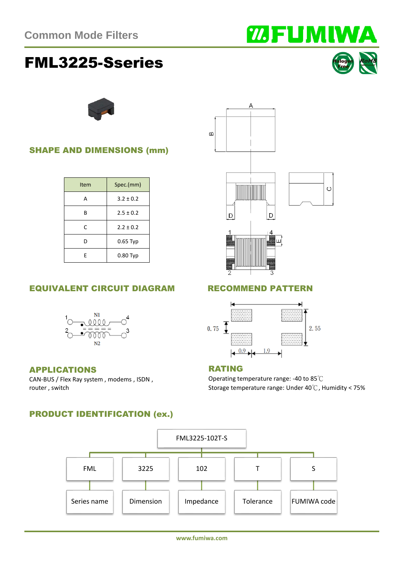# FML3225-Sseries

**www.fumiwa.com**



## Item Spec.(mm) A  $3.2 \pm 0.2$ B  $2.5 \pm 0.2$ C 2.2 ± 0.2 D 0.65 Typ E 0.80 Typ

### EQUIVALENT CIRCUIT DIAGRAM RECOMMEND PATTERN



#### APPLICATIONS

CAN-BUS / Flex Ray system , modems , ISDN , router , switch

#### PRODUCT IDENTIFICATION (ex.)







#### RATING

Operating temperature range: -40 to 85℃ Storage temperature range: Under 40℃, Humidity < 75%



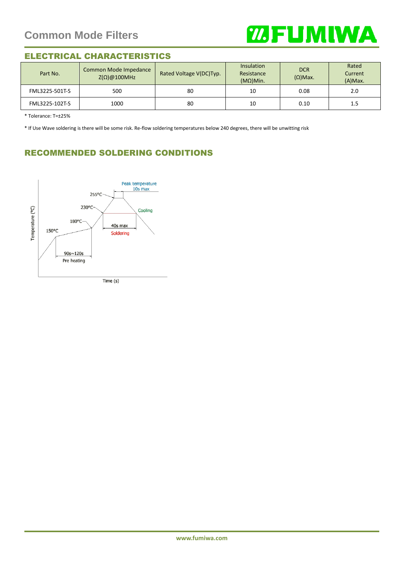

#### ELECTRICAL CHARACTERISTICS

| Part No.       | Common Mode Impedance<br>$Z(\Omega)$ @100MHz | Rated Voltage V(DC)Typ. | <b>Insulation</b><br>Resistance<br>$(MΩ)$ Min. | <b>DCR</b><br>$(\Omega)$ Max. | Rated<br>Current<br>$(A)$ Max. |
|----------------|----------------------------------------------|-------------------------|------------------------------------------------|-------------------------------|--------------------------------|
| FML3225-501T-S | 500                                          | 80                      | 10                                             | 0.08                          | 2.0                            |
| FML3225-102T-S | 1000                                         | 80                      | 10                                             | 0.10                          | 1.5                            |

\* Tolerance: T=±25%

\* If Use Wave soldering is there will be some risk. Re-flow soldering temperatures below 240 degrees, there will be unwitting risk

#### RECOMMENDED SOLDERING CONDITIONS